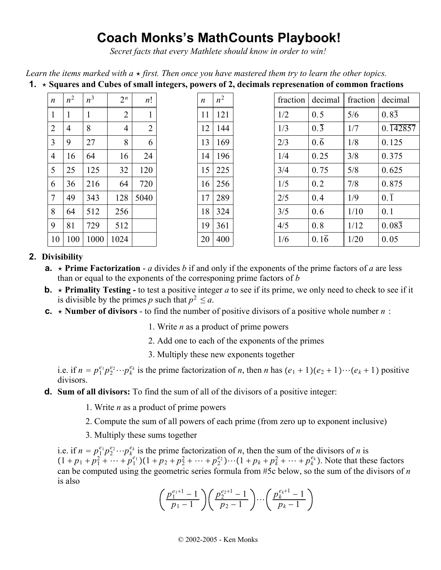# **Coach Monks's MathCounts Playbook!**

*Secret facts that every Mathlete should know in order to win!*

*Learn the items marked with a*  $\star$  *first. Then once you have mastered them try to learn the other topics.* 

|                  |       |                |                |                | . |                  |       |          |                  |          |                       |
|------------------|-------|----------------|----------------|----------------|---|------------------|-------|----------|------------------|----------|-----------------------|
| $\boldsymbol{n}$ | $n^2$ | n <sup>3</sup> | $2^n$          | n!             |   | $\boldsymbol{n}$ | $n^2$ | fraction | decimal          | fraction | decimal               |
| $\mathbf{1}$     |       |                | $\overline{2}$ |                |   | 11               | 121   | 1/2      | 0.5              | 5/6      | $0.8\overline{3}$     |
| $\overline{2}$   | 4     | 8              | $\overline{4}$ | $\overline{2}$ |   | 12               | 144   | 1/3      | $0.\overline{3}$ | 1/7      | $0.\overline{142857}$ |
| 3                | 9     | 27             | 8              | 6              |   | 13               | 169   | 2/3      | $0.\overline{6}$ | 1/8      | 0.125                 |
| $\overline{4}$   | 16    | 64             | 16             | 24             |   | 14               | 196   | 1/4      | 0.25             | 3/8      | 0.375                 |
| 5                | 25    | 125            | 32             | 120            |   | 15               | 225   | 3/4      | 0.75             | 5/8      | 0.625                 |
| 6                | 36    | 216            | 64             | 720            |   | 16               | 256   | 1/5      | 0.2              | 7/8      | 0.875                 |
| 7                | 49    | 343            | 128            | 5040           |   | 17               | 289   | 2/5      | 0.4              | 1/9      | $0.\overline{1}$      |
| 8                | 64    | 512            | 256            |                |   | 18               | 324   | 3/5      | 0.6              | 1/10     | 0.1                   |
| 9                | 81    | 729            | 512            |                |   | 19               | 361   | 4/5      | 0.8              | 1/12     | $0.08\overline{3}$    |
| 10               | 100   | 1000           | 1024           |                |   | 20               | 400   | 1/6      | 0.16             | 1/20     | 0.05                  |

## **1. Squares and Cubes of small integers, powers of 2, decimals represenation of common fractions**

## **2. Divisibility**

- **a.**  $\star$  **Prime Factorization** *a* divides *b* if and only if the exponents of the prime factors of *a* are less than or equal to the exponents of the corresponing prime factors of *b*
- **b.**  $\star$  **Primality Testing** to test a positive integer *a* to see if its prime, we only need to check to see if it is divisible by the primes *p* such that  $p^2 \le a$ .
- **c.**  $\star$  **Number of divisors** to find the number of positive divisors of a positive whole number *n* :
	- 1. Write *n* as a product of prime powers
	- 2. Add one to each of the exponents of the primes
	- 3. Multiply these new exponents together

i.e. if  $n = p_1^{e_1} p_2^{e_2} \cdots p_k^{e_k}$  is the prime factorization of *n*, then *n* has  $(e_1 + 1)(e_2 + 1) \cdots (e_k + 1)$  positive divisors.

- **d. Sum of all divisors:** To find the sum of all of the divisors of a positive integer:
	- 1. Write *n* as a product of prime powers
	- 2. Compute the sum of all powers of each prime (from zero up to exponent inclusive)
	- 3. Multiply these sums together

i.e. if  $n = p_1^{e_1} p_2^{e_2} \cdots p_k^{e_k}$  is the prime factorization of *n*, then the sum of the divisors of *n* is  $(1+p_1+p_1^2+\cdots+p_1^{e_1})(1+p_2+p_2^2+\cdots+p_2^{e_2})\cdots(1+p_k+p_k^2+\cdots+p_k^{e_k})$ . Note that these factors can be computed using the geometric series formula from #5c below, so the sum of the divisors of *n* is also

$$
\left(\frac{p_1^{e_1+1}-1}{p_1-1}\right)\left(\frac{p_2^{e_2+1}-1}{p_2-1}\right)\cdots\left(\frac{p_k^{e_k+1}-1}{p_k-1}\right)
$$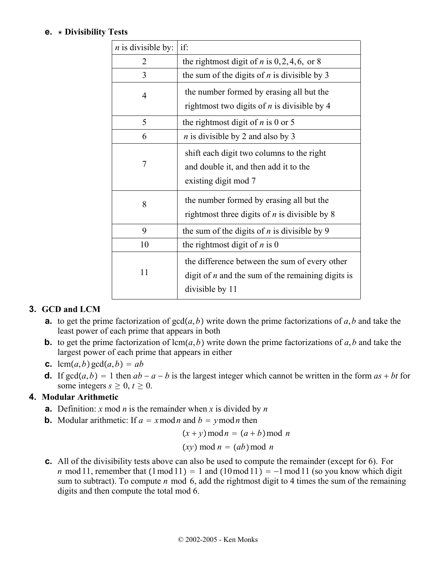## **e. Divisibility Tests**

| $n$ is divisible by: | if:                                                                                                                     |  |  |  |  |
|----------------------|-------------------------------------------------------------------------------------------------------------------------|--|--|--|--|
| $\overline{2}$       | the rightmost digit of <i>n</i> is $0, 2, 4, 6$ , or 8                                                                  |  |  |  |  |
| 3                    | the sum of the digits of $n$ is divisible by 3                                                                          |  |  |  |  |
| 4                    | the number formed by erasing all but the                                                                                |  |  |  |  |
|                      | rightmost two digits of $n$ is divisible by 4                                                                           |  |  |  |  |
| 5                    | the rightmost digit of $n$ is 0 or 5                                                                                    |  |  |  |  |
| 6                    | <i>n</i> is divisible by 2 and also by 3                                                                                |  |  |  |  |
| 7                    | shift each digit two columns to the right<br>and double it, and then add it to the<br>existing digit mod 7              |  |  |  |  |
| 8                    | the number formed by erasing all but the<br>rightmost three digits of $n$ is divisible by 8                             |  |  |  |  |
| 9                    | the sum of the digits of $n$ is divisible by 9                                                                          |  |  |  |  |
| 10                   | the rightmost digit of $n$ is 0                                                                                         |  |  |  |  |
| 11                   | the difference between the sum of every other<br>digit of $n$ and the sum of the remaining digits is<br>divisible by 11 |  |  |  |  |

## **3. GCD and LCM**

- **a.** to get the prime factorization of  $gcd(a, b)$  write down the prime factorizations of *a*, *b* and take the least power of each prime that appears in both
- **b.** to get the prime factorization of  $lcm(a, b)$  write down the prime factorizations of *a*,*b* and take the largest power of each prime that appears in either
- **c.** lcm $(a, b)$  gcd $(a, b) = ab$
- **d.** If  $gcd(a, b) = 1$  then  $ab a b$  is the largest integer which cannot be written in the form  $as + bt$  for some integers  $s \geq 0$ ,  $t \geq 0$ .

## **4. Modular Arithmetic**

- **a.** Definition: *x* mod *n* is the remainder when *x* is divided by *n*
- **b.** Modular arithmetic: If  $a = x \mod n$  and  $b = y \mod n$  then

 $(x + y) \mod n = (a + b) \mod n$ 

$$
(xy) \bmod n = (ab) \bmod n
$$

**c.** All of the divisibility tests above can also be used to compute the remainder (except for 6). For *n* mod 11, remember that  $(1 \mod 11) = 1$  and  $(10 \mod 11) = -1 \mod 11$  (so you know which digit sum to subtract). To compute *n* mod 6, add the rightmost digit to 4 times the sum of the remaining digits and then compute the total mod 6.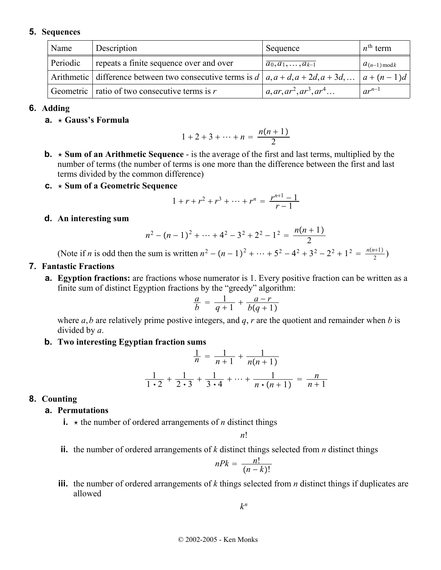#### **5. Sequences**

| Name     | Description                                                                       | Sequence                               | $n^{\text{th}}$ term |
|----------|-----------------------------------------------------------------------------------|----------------------------------------|----------------------|
| Periodic | repeats a finite sequence over and over                                           | $\overline{a_0, a_1, \ldots, a_{k-1}}$ | $a_{(n-1) \bmod k}$  |
|          | Arithmetic difference between two consecutive terms is $d   a, a+d, a+2d, a+3d, $ |                                        | $ a+(n-1)d $         |
|          | Geometric $\vert$ ratio of two consecutive terms is r                             | $a, ar, ar2, ar3, ar4$                 | $ar^{n-1}$           |

#### **6. Adding**

**a. Gauss's Formula**

$$
1 + 2 + 3 + \dots + n = \frac{n(n+1)}{2}
$$

- **b.**  $\star$  **Sum of an Arithmetic Sequence** is the average of the first and last terms, multiplied by the number of terms (the number of terms is one more than the difference between the first and last terms divided by the common difference)
- **c. Sum of a Geometric Sequence**

$$
1 + r + r2 + r3 + \dots + rn = \frac{r^{n+1} - 1}{r - 1}
$$

**d. An interesting sum**

$$
n^2 - (n-1)^2 + \dots + 4^2 - 3^2 + 2^2 - 1^2 = \frac{n(n+1)}{2}
$$

(Note if *n* is odd then the sum is written  $n^2 - (n-1)^2 + \cdots + 5^2 - 4^2 + 3^2 - 2^2 + 1^2 = \frac{n(n+1)}{2}$ )

#### **7. Fantastic Fractions**

**a. Egyption fractions:** are fractions whose numerator is 1. Every positive fraction can be written as a finite sum of distinct Egyption fractions by the "greedy" algorithm:

$$
\frac{a}{b} = \frac{1}{q+1} + \frac{a-r}{b(q+1)}
$$

where *a*,*b* are relatively prime postive integers, and *q*, *r* are the quotient and remainder when *b* is divided by *a*.

**b. Two interesting Egyptian fraction sums**

$$
\frac{1}{n} = \frac{1}{n+1} + \frac{1}{n(n+1)}
$$

$$
\frac{1}{1\cdot 2} + \frac{1}{2\cdot 3} + \frac{1}{3\cdot 4} + \dots + \frac{1}{n\cdot (n+1)} = \frac{n}{n+1}
$$

#### **8. Counting**

#### **a. Permutations**

**i.**  $\star$  the number of ordered arrangements of *n* distinct things

*n*!

**ii.** the number of ordered arrangements of *k* distinct things selected from *n* distinct things

$$
nPk = \frac{n!}{(n-k)!}
$$

**iii.** the number of ordered arrangements of *k* things selected from *n* distinct things if duplicates are allowed

*kn*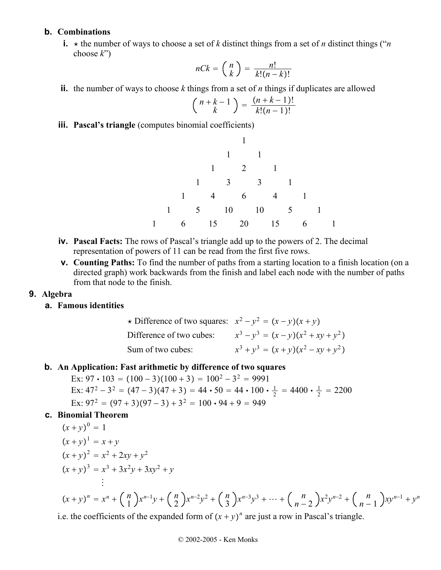#### **b. Combinations**

**i.**  $\star$  the number of ways to choose a set of *k* distinct things from a set of *n* distinct things ("*n* choose *k*")

$$
nCk = \binom{n}{k} = \frac{n!}{k!(n-k)!}
$$

**ii.** the number of ways to choose *k* things from a set of *n* things if duplicates are allowed

$$
\binom{n+k-1}{k} = \frac{(n+k-1)!}{k!(n-1)!}
$$

**iii. Pascal's triangle** (computes binomial coefficients)

1 1 1 121 1331 14 6 41 1 5 10 10 5 1 1 6 15 20 15 6 1

- **iv. Pascal Facts:** The rows of Pascal's triangle add up to the powers of 2. The decimal representation of powers of 11 can be read from the first five rows.
- **v. Counting Paths:** To find the number of paths from a starting location to a finish location (on a directed graph) work backwards from the finish and label each node with the number of paths from that node to the finish.

#### **9. Algebra**

## **a. Famous identities**

$$
\star \text{ Difference of two squares: } x^2 - y^2 = (x - y)(x + y)
$$
\n
$$
\text{Difference of two cubes: } x^3 - y^3 = (x - y)(x^2 + xy + y^2)
$$
\n
$$
\text{Sum of two cubes: } x^3 + y^3 = (x + y)(x^2 - xy + y^2)
$$

#### **b. An Application: Fast arithmetic by difference of two squares**

Ex:  $97 \cdot 103 = (100 - 3)(100 + 3) = 100^2 - 3^2 = 9991$ Ex:  $47^2 - 3^2 = (47 - 3)(47 + 3) = 44 \cdot 50 = 44 \cdot 100 \cdot \frac{1}{2} = 4400 \cdot \frac{1}{2} = 2200$ Ex:  $97^2 = (97 + 3)(97 - 3) + 3^2 = 100 \cdot 94 + 9 = 949$ 

#### **c. Binomial Theorem**

$$
(x + y)^0 = 1
$$
  
\n
$$
(x + y)^1 = x + y
$$
  
\n
$$
(x + y)^2 = x^2 + 2xy + y^2
$$
  
\n
$$
(x + y)^3 = x^3 + 3x^2y + 3xy^2 + y
$$
  
\n
$$
\vdots
$$
  
\n
$$
(x + y)^n = x^n + {n \choose 1}x^{n-1}y + {n \choose 2}x^{n-2}y^2 + {n \choose 3}x^{n-3}y^3 + \dots + {n \choose n-2}x^2y^{n-2} + {n \choose n-1}xy^{n-1} + y^n
$$

i.e. the coefficients of the expanded form of  $(x + y)^n$  are just a row in Pascal's triangle.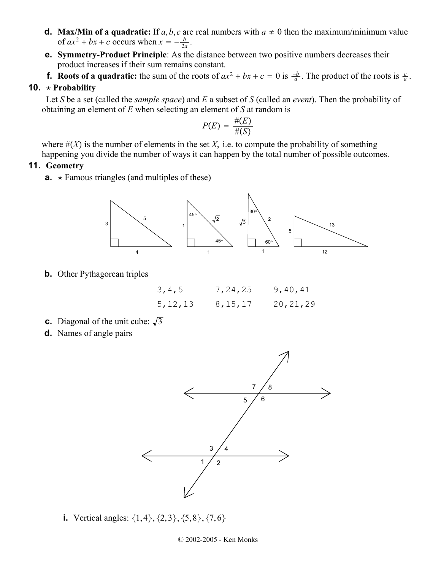- **d.** Max/Min of a quadratic: If *a*, *b*, *c* are real numbers with  $a \neq 0$  then the maximum/minimum value of  $ax^2 + bx + c$  occurs when  $x = -\frac{b}{2a}$ .
- **e. Symmetry-Product Principle**: As the distance between two positive numbers decreases their product increases if their sum remains constant.
- **f.** Roots of a quadratic: the sum of the roots of  $ax^2 + bx + c = 0$  is  $\frac{-b}{a}$ . The product of the roots is  $\frac{c}{a}$ .

#### **10.**  $\star$  **Probability**

Let *S* be a set (called the *sample space*) and *E* a subset of *S* (called an *event*). Then the probability of obtaining an element of *E* when selecting an element of *S* at random is

$$
P(E) = \frac{\#(E)}{\#(S)}
$$

where  $#(X)$  is the number of elements in the set  $X$ , i.e. to compute the probability of something

happening you divide the number of ways it can happen by the total number of possible outcomes.

## **11. Geometry**

**a.**  $\star$  Famous triangles (and multiples of these)



**b.** Other Pythagorean triples

| 3, 4, 5   | 7,24,25   | 9,40,41    |
|-----------|-----------|------------|
| 5, 12, 13 | 8, 15, 17 | 20, 21, 29 |

- **c.** Diagonal of the unit cube:  $\sqrt{3}$
- **d.** Names of angle pairs



**i.** Vertical angles:  $\{1, 4\}, \{2, 3\}, \{5, 8\}, \{7, 6\}$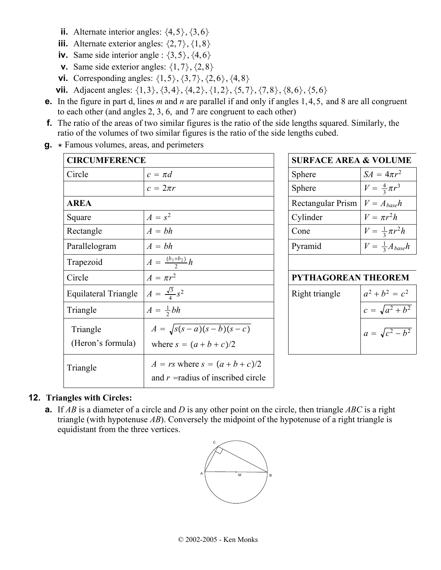- **ii.** Alternate interior angles:  $\{4, 5\}, \{3, 6\}$
- **iii.** Alternate exterior angles:  $\{2, 7\}$ ,  $\{1, 8\}$
- **iv.** Same side interior angle :  $\{3, 5\}$ ,  $\{4, 6\}$
- **v.** Same side exterior angles:  $\{1, 7\}$ ,  $\{2, 8\}$
- **vi.** Corresponding angles:  $\{1, 5\}, \{3, 7\}, \{2, 6\}, \{4, 8\}$
- **vii.** Adjacent angles:  $\{1,3\}, \{3,4\}, \{4,2\}, \{1,2\}, \{5,7\}, \{7,8\}, \{8,6\}, \{5,6\}$
- **e.** In the figure in part d, lines *m* and *n* are parallel if and only if angles 1, 4, 5, and 8 are all congruent to each other (and angles 2, 3, 6, and 7 are congruent to each other)
- **f.** The ratio of the areas of two similar figures is the ratio of the side lengths squared. Similarly, the ratio of the volumes of two similar figures is the ratio of the side lengths cubed.
- $\mathbf{q}$ .  $\star$  Famous volumes, areas, and perimeters

| <b>CIRCUMFERENCE</b>        |                                      | <b>SURFACE AREA &amp; VOLUME</b> |                            |                              |  |
|-----------------------------|--------------------------------------|----------------------------------|----------------------------|------------------------------|--|
| Circle                      | $c = \pi d$                          |                                  | Sphere                     | $SA = 4\pi r^2$              |  |
|                             | $c = 2\pi r$                         |                                  | <b>Sphere</b>              | $V = \frac{4}{3}\pi r^3$     |  |
| <b>AREA</b>                 |                                      |                                  | Rectangular Prism          | $V = A_{base}h$              |  |
| Square                      | $A = s^2$                            |                                  | Cylinder                   | $V = \pi r^2 h$              |  |
| Rectangle                   | $A = bh$                             |                                  | Cone                       | $V = \frac{1}{3}\pi r^2 h$   |  |
| Parallelogram               | $A = bh$                             |                                  | Pyramid                    | $V = \frac{1}{3} A_{base} h$ |  |
| Trapezoid                   | $A = \frac{(b_1 + b_2)}{2}h$         |                                  |                            |                              |  |
| Circle                      | $A = \pi r^2$                        |                                  | <b>PYTHAGOREAN THEOREM</b> |                              |  |
| <b>Equilateral Triangle</b> | $A = \frac{\sqrt{3}}{4} s^2$         |                                  | Right triangle             | $a^2 + b^2 = c^2$            |  |
| Triangle                    | $A=\frac{1}{2}bh$                    |                                  |                            | $c = \sqrt{a^2 + b^2}$       |  |
| Triangle                    | $A = \sqrt{s(s-a)(s-b)(s-c)}$        |                                  |                            | $a = \sqrt{c^2 - b^2}$       |  |
| (Heron's formula)           | where $s = (a + b + c)/2$            |                                  |                            |                              |  |
| Triangle                    | $A = rs$ where $s = (a+b+c)/2$       |                                  |                            |                              |  |
|                             | and $r =$ radius of inscribed circle |                                  |                            |                              |  |

| <b>SURFACE AREA &amp; VOLUME</b> |  |  |  |  |  |
|----------------------------------|--|--|--|--|--|
| $SA = 4\pi r^2$                  |  |  |  |  |  |
| $V = \frac{4}{3}\pi r^3$         |  |  |  |  |  |
| $V = A_{base}h$                  |  |  |  |  |  |
| $V = \pi r^2 h$                  |  |  |  |  |  |
| $V = \frac{1}{3}\pi r^2 h$       |  |  |  |  |  |
| $V = \frac{1}{3} A_{base} h$     |  |  |  |  |  |
|                                  |  |  |  |  |  |

## **PYTHAGOREAN THEOREM**

| t triangle | $a^2 + b^2 = c^2$      |
|------------|------------------------|
|            | $c = \sqrt{a^2 + b^2}$ |
|            | $a = \sqrt{c^2 - b^2}$ |

## **12. Triangles with Circles:**

**a.** If *AB* is a diameter of a circle and *D* is any other point on the circle, then triangle *ABC* is a right triangle (with hypotenuse *AB*). Conversely the midpoint of the hypotenuse of a right triangle is equidistant from the three vertices.

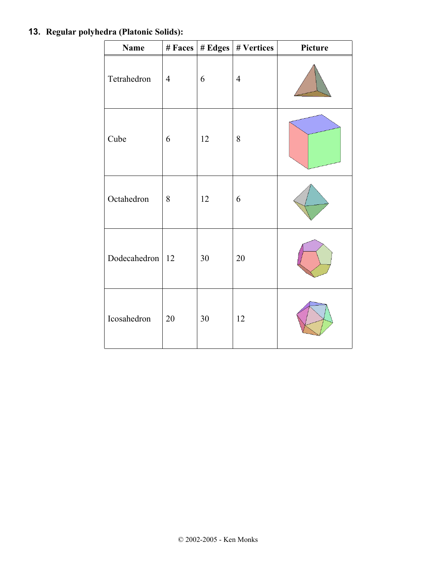## **13. Regular polyhedra (Platonic Solids):**

| <b>Name</b>         |                | # Faces   # Edges | # Vertices     | Picture |
|---------------------|----------------|-------------------|----------------|---------|
| Tetrahedron         | $\overline{4}$ | 6                 | $\overline{4}$ |         |
| Cube                | 6              | 12                | $8\,$          |         |
| Octahedron          | 8              | 12                | 6              |         |
| Dodecahedron   $12$ |                | 30                | 20             |         |
| Icosahedron         | 20             | 30                | 12             |         |